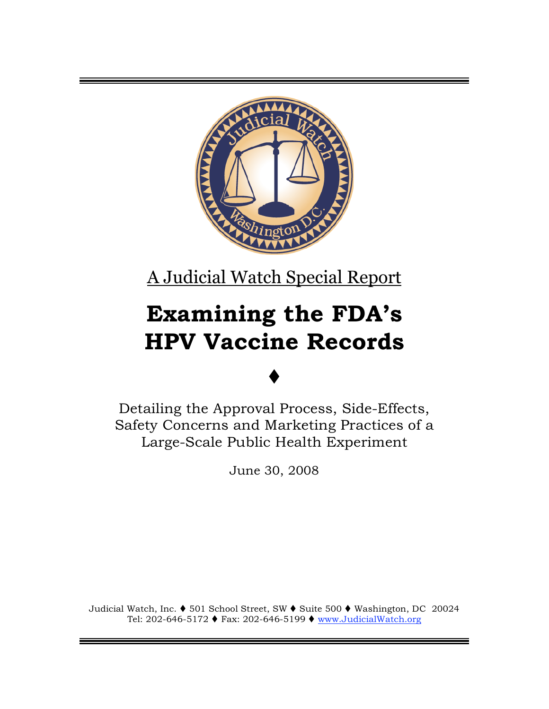

A Judicial Watch Special Report

# **Examining the FDA's HPV Vaccine Records**

# $\blacklozenge$

Detailing the Approval Process, Side-Effects, Safety Concerns and Marketing Practices of a Large-Scale Public Health Experiment

June 30, 2008

Judicial Watch, Inc. ♦ 501 School Street, SW ♦ Suite 500 ♦ Washington, DC 20024 Tel: 202-646-5172 ♦ Fax: 202-646-5199 ♦ www.JudicialWatch.org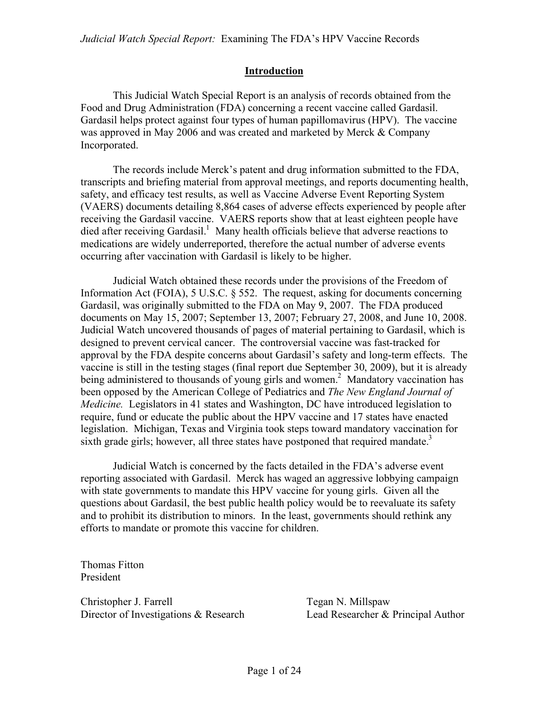#### **Introduction**

This Judicial Watch Special Report is an analysis of records obtained from the Food and Drug Administration (FDA) concerning a recent vaccine called Gardasil. Gardasil helps protect against four types of human papillomavirus (HPV). The vaccine was approved in May 2006 and was created and marketed by Merck & Company Incorporated.

The records include Merck's patent and drug information submitted to the FDA, transcripts and briefing material from approval meetings, and reports documenting health, safety, and efficacy test results, as well as Vaccine Adverse Event Reporting System (VAERS) documents detailing 8,864 cases of adverse effects experienced by people after receiving the Gardasil vaccine. VAERS reports show that at least eighteen people have died after receiving Gardasil.<sup>1</sup> Many health officials believe that adverse reactions to medications are widely underreported, therefore the actual number of adverse events occurring after vaccination with Gardasil is likely to be higher.

Judicial Watch obtained these records under the provisions of the Freedom of Information Act (FOIA), 5 U.S.C. § 552. The request, asking for documents concerning Gardasil, was originally submitted to the FDA on May 9, 2007. The FDA produced documents on May 15, 2007; September 13, 2007; February 27, 2008, and June 10, 2008. Judicial Watch uncovered thousands of pages of material pertaining to Gardasil, which is designed to prevent cervical cancer. The controversial vaccine was fast-tracked for approval by the FDA despite concerns about Gardasil's safety and long-term effects. The vaccine is still in the testing stages (final report due September 30, 2009), but it is already being administered to thousands of young girls and women.<sup>2</sup> Mandatory vaccination has been opposed by the American College of Pediatrics and *The New England Journal of Medicine.* Legislators in 41 states and Washington, DC have introduced legislation to require, fund or educate the public about the HPV vaccine and 17 states have enacted legislation. Michigan, Texas and Virginia took steps toward mandatory vaccination for sixth grade girls; however, all three states have postponed that required mandate.<sup>3</sup>

Judicial Watch is concerned by the facts detailed in the FDA's adverse event reporting associated with Gardasil. Merck has waged an aggressive lobbying campaign with state governments to mandate this HPV vaccine for young girls. Given all the questions about Gardasil, the best public health policy would be to reevaluate its safety and to prohibit its distribution to minors. In the least, governments should rethink any efforts to mandate or promote this vaccine for children.

Thomas Fitton President

Christopher J. Farrell Tegan N. Millspaw Director of Investigations & Research Lead Researcher & Principal Author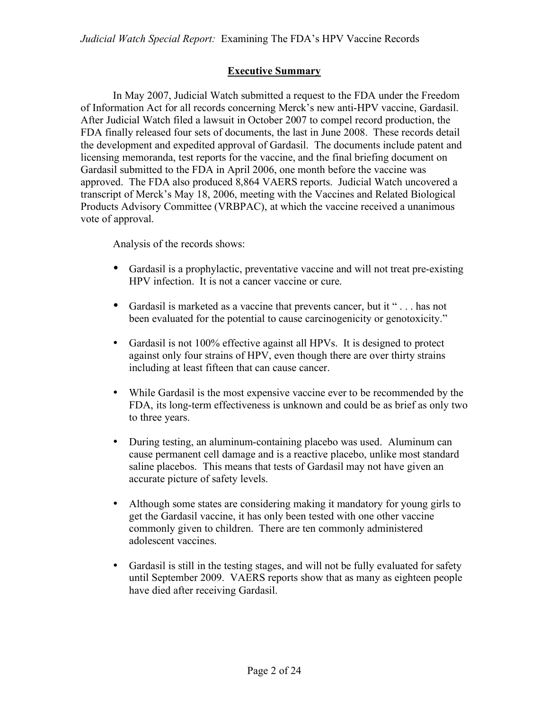#### **Executive Summary**

In May 2007, Judicial Watch submitted a request to the FDA under the Freedom of Information Act for all records concerning Merck's new anti-HPV vaccine, Gardasil. After Judicial Watch filed a lawsuit in October 2007 to compel record production, the FDA finally released four sets of documents, the last in June 2008. These records detail the development and expedited approval of Gardasil. The documents include patent and licensing memoranda, test reports for the vaccine, and the final briefing document on Gardasil submitted to the FDA in April 2006, one month before the vaccine was approved. The FDA also produced 8,864 VAERS reports. Judicial Watch uncovered a transcript of Merck's May 18, 2006, meeting with the Vaccines and Related Biological Products Advisory Committee (VRBPAC), at which the vaccine received a unanimous vote of approval.

Analysis of the records shows:

- Gardasil is a prophylactic, preventative vaccine and will not treat pre-existing HPV infection. It is not a cancer vaccine or cure.
- Gardasil is marketed as a vaccine that prevents cancer, but it "... has not been evaluated for the potential to cause carcinogenicity or genotoxicity."
- Gardasil is not 100% effective against all HPVs. It is designed to protect against only four strains of HPV, even though there are over thirty strains including at least fifteen that can cause cancer.
- While Gardasil is the most expensive vaccine ever to be recommended by the FDA, its long-term effectiveness is unknown and could be as brief as only two to three years.
- During testing, an aluminum-containing placebo was used. Aluminum can cause permanent cell damage and is a reactive placebo, unlike most standard saline placebos. This means that tests of Gardasil may not have given an accurate picture of safety levels.
- Although some states are considering making it mandatory for young girls to get the Gardasil vaccine, it has only been tested with one other vaccine commonly given to children. There are ten commonly administered adolescent vaccines.
- Gardasil is still in the testing stages, and will not be fully evaluated for safety until September 2009. VAERS reports show that as many as eighteen people have died after receiving Gardasil.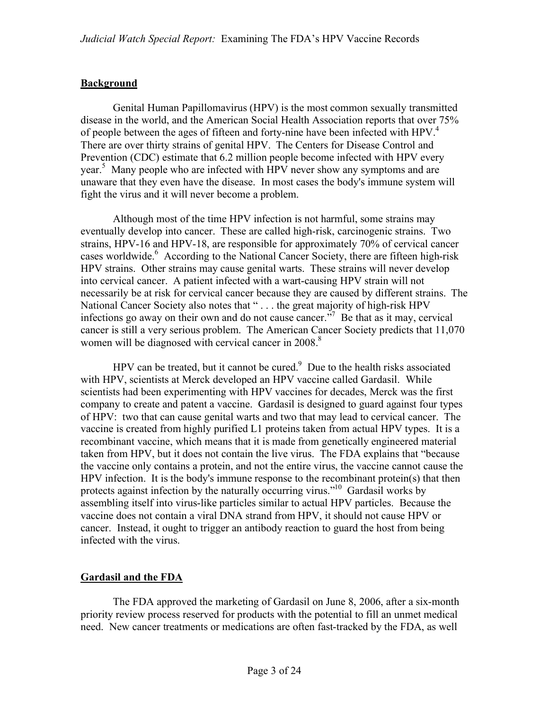#### **Background**

Genital Human Papillomavirus (HPV) is the most common sexually transmitted disease in the world, and the American Social Health Association reports that over 75% of people between the ages of fifteen and forty-nine have been infected with HPV.<sup>4</sup> There are over thirty strains of genital HPV. The Centers for Disease Control and Prevention (CDC) estimate that 6.2 million people become infected with HPV every year.<sup>5</sup> Many people who are infected with HPV never show any symptoms and are unaware that they even have the disease. In most cases the body's immune system will fight the virus and it will never become a problem.

Although most of the time HPV infection is not harmful, some strains may eventually develop into cancer. These are called high-risk, carcinogenic strains. Two strains, HPV-16 and HPV-18, are responsible for approximately 70% of cervical cancer cases worldwide.<sup>6</sup> According to the National Cancer Society, there are fifteen high-risk HPV strains. Other strains may cause genital warts. These strains will never develop into cervical cancer. A patient infected with a wart-causing HPV strain will not necessarily be at risk for cervical cancer because they are caused by different strains. The National Cancer Society also notes that " . . . the great majority of high-risk HPV infections go away on their own and do not cause cancer.<sup>57</sup> Be that as it may, cervical cancer is still a very serious problem. The American Cancer Society predicts that 11,070 women will be diagnosed with cervical cancer in 2008.<sup>8</sup>

HPV can be treated, but it cannot be cured. $9$  Due to the health risks associated with HPV, scientists at Merck developed an HPV vaccine called Gardasil. While scientists had been experimenting with HPV vaccines for decades, Merck was the first company to create and patent a vaccine. Gardasil is designed to guard against four types of HPV: two that can cause genital warts and two that may lead to cervical cancer. The vaccine is created from highly purified L1 proteins taken from actual HPV types. It is a recombinant vaccine, which means that it is made from genetically engineered material taken from HPV, but it does not contain the live virus. The FDA explains that "because the vaccine only contains a protein, and not the entire virus, the vaccine cannot cause the HPV infection. It is the body's immune response to the recombinant protein(s) that then protects against infection by the naturally occurring virus.<sup> $10$ </sup> Gardasil works by assembling itself into virus-like particles similar to actual HPV particles. Because the vaccine does not contain a viral DNA strand from HPV, it should not cause HPV or cancer. Instead, it ought to trigger an antibody reaction to guard the host from being infected with the virus.

### **Gardasil and the FDA**

The FDA approved the marketing of Gardasil on June 8, 2006, after a six-month priority review process reserved for products with the potential to fill an unmet medical need. New cancer treatments or medications are often fast-tracked by the FDA, as well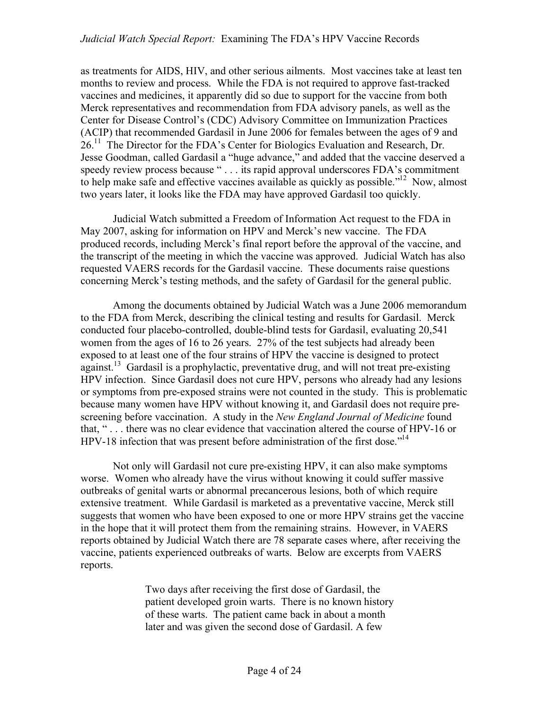as treatments for AIDS, HIV, and other serious ailments. Most vaccines take at least ten months to review and process. While the FDA is not required to approve fast-tracked vaccines and medicines, it apparently did so due to support for the vaccine from both Merck representatives and recommendation from FDA advisory panels, as well as the Center for Disease Control's (CDC) Advisory Committee on Immunization Practices (ACIP) that recommended Gardasil in June 2006 for females between the ages of 9 and  $26<sup>11</sup>$  The Director for the FDA's Center for Biologics Evaluation and Research, Dr. Jesse Goodman, called Gardasil a "huge advance," and added that the vaccine deserved a speedy review process because " . . . its rapid approval underscores FDA's commitment to help make safe and effective vaccines available as quickly as possible."12 Now, almost two years later, it looks like the FDA may have approved Gardasil too quickly.

Judicial Watch submitted a Freedom of Information Act request to the FDA in May 2007, asking for information on HPV and Merck's new vaccine. The FDA produced records, including Merck's final report before the approval of the vaccine, and the transcript of the meeting in which the vaccine was approved. Judicial Watch has also requested VAERS records for the Gardasil vaccine. These documents raise questions concerning Merck's testing methods, and the safety of Gardasil for the general public.

Among the documents obtained by Judicial Watch was a June 2006 memorandum to the FDA from Merck, describing the clinical testing and results for Gardasil. Merck conducted four placebo-controlled, double-blind tests for Gardasil, evaluating 20,541 women from the ages of 16 to 26 years. 27% of the test subjects had already been exposed to at least one of the four strains of HPV the vaccine is designed to protect against.<sup>13</sup> Gardasil is a prophylactic, preventative drug, and will not treat pre-existing HPV infection. Since Gardasil does not cure HPV, persons who already had any lesions or symptoms from pre-exposed strains were not counted in the study. This is problematic because many women have HPV without knowing it, and Gardasil does not require prescreening before vaccination. A study in the *New England Journal of Medicine* found that, " . . . there was no clear evidence that vaccination altered the course of HPV-16 or HPV-18 infection that was present before administration of the first dose."<sup>14</sup>

Not only will Gardasil not cure pre-existing HPV, it can also make symptoms worse. Women who already have the virus without knowing it could suffer massive outbreaks of genital warts or abnormal precancerous lesions, both of which require extensive treatment. While Gardasil is marketed as a preventative vaccine, Merck still suggests that women who have been exposed to one or more HPV strains get the vaccine in the hope that it will protect them from the remaining strains. However, in VAERS reports obtained by Judicial Watch there are 78 separate cases where, after receiving the vaccine, patients experienced outbreaks of warts. Below are excerpts from VAERS reports.

> Two days after receiving the first dose of Gardasil, the patient developed groin warts. There is no known history of these warts. The patient came back in about a month later and was given the second dose of Gardasil. A few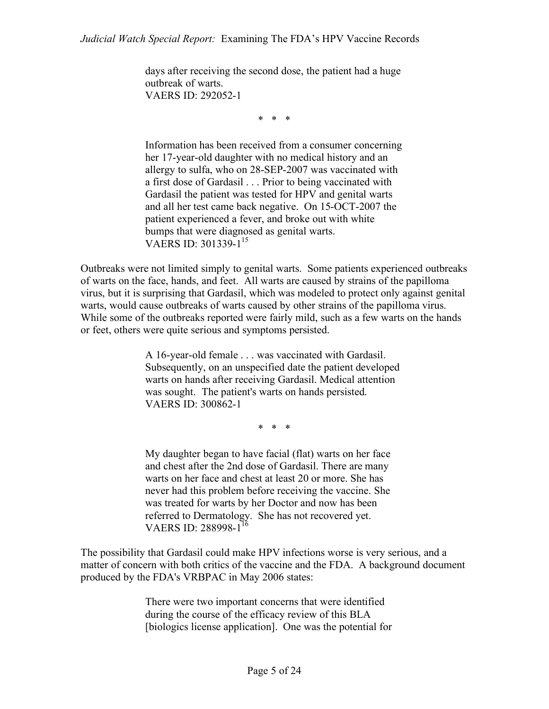days after receiving the second dose, the patient had a huge outbreak of warts. VAERS ID: 292052-1

\* \* \*

Information has been received from a consumer concerning her 17-year-old daughter with no medical history and an allergy to sulfa, who on 28-SEP-2007 was vaccinated with a first dose of Gardasil . . . Prior to being vaccinated with Gardasil the patient was tested for HPV and genital warts and all her test came back negative. On 15-OCT-2007 the patient experienced a fever, and broke out with white bumps that were diagnosed as genital warts. VAERS ID: 301339-1<sup>15</sup>

Outbreaks were not limited simply to genital warts. Some patients experienced outbreaks of warts on the face, hands, and feet. All warts are caused by strains of the papilloma virus, but it is surprising that Gardasil, which was modeled to protect only against genital warts, would cause outbreaks of warts caused by other strains of the papilloma virus. While some of the outbreaks reported were fairly mild, such as a few warts on the hands or feet, others were quite serious and symptoms persisted.

> A 16-year-old female . . . was vaccinated with Gardasil. Subsequently, on an unspecified date the patient developed warts on hands after receiving Gardasil. Medical attention was sought. The patient's warts on hands persisted. VAERS ID: 300862-1

> > \* \* \*

My daughter began to have facial (flat) warts on her face and chest after the 2nd dose of Gardasil. There are many warts on her face and chest at least 20 or more. She has never had this problem before receiving the vaccine. She was treated for warts by her Doctor and now has been referred to Dermatology. She has not recovered yet. VAERS ID: 288998-1<sup>16</sup>

The possibility that Gardasil could make HPV infections worse is very serious, and a matter of concern with both critics of the vaccine and the FDA. A background document produced by the FDA's VRBPAC in May 2006 states:

> There were two important concerns that were identified during the course of the efficacy review of this BLA [biologics license application]. One was the potential for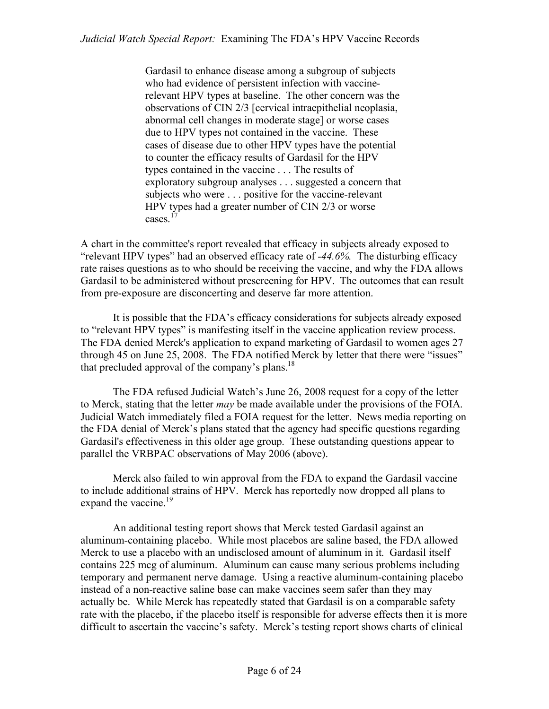Gardasil to enhance disease among a subgroup of subjects who had evidence of persistent infection with vaccinerelevant HPV types at baseline. The other concern was the observations of CIN 2/3 [cervical intraepithelial neoplasia, abnormal cell changes in moderate stage] or worse cases due to HPV types not contained in the vaccine. These cases of disease due to other HPV types have the potential to counter the efficacy results of Gardasil for the HPV types contained in the vaccine . . . The results of exploratory subgroup analyses . . . suggested a concern that subjects who were . . . positive for the vaccine-relevant HPV types had a greater number of CIN 2/3 or worse  $cases.$ <sup>1</sup>

A chart in the committee's report revealed that efficacy in subjects already exposed to "relevant HPV types" had an observed efficacy rate of *-44.6%.* The disturbing efficacy rate raises questions as to who should be receiving the vaccine, and why the FDA allows Gardasil to be administered without prescreening for HPV. The outcomes that can result from pre-exposure are disconcerting and deserve far more attention.

It is possible that the FDA's efficacy considerations for subjects already exposed to "relevant HPV types" is manifesting itself in the vaccine application review process. The FDA denied Merck's application to expand marketing of Gardasil to women ages 27 through 45 on June 25, 2008. The FDA notified Merck by letter that there were "issues" that precluded approval of the company's plans.<sup>18</sup>

The FDA refused Judicial Watch's June 26, 2008 request for a copy of the letter to Merck, stating that the letter *may* be made available under the provisions of the FOIA. Judicial Watch immediately filed a FOIA request for the letter. News media reporting on the FDA denial of Merck's plans stated that the agency had specific questions regarding Gardasil's effectiveness in this older age group. These outstanding questions appear to parallel the VRBPAC observations of May 2006 (above).

Merck also failed to win approval from the FDA to expand the Gardasil vaccine to include additional strains of HPV. Merck has reportedly now dropped all plans to expand the vaccine.<sup>19</sup>

An additional testing report shows that Merck tested Gardasil against an aluminum-containing placebo. While most placebos are saline based, the FDA allowed Merck to use a placebo with an undisclosed amount of aluminum in it. Gardasil itself contains 225 mcg of aluminum. Aluminum can cause many serious problems including temporary and permanent nerve damage. Using a reactive aluminum-containing placebo instead of a non-reactive saline base can make vaccines seem safer than they may actually be. While Merck has repeatedly stated that Gardasil is on a comparable safety rate with the placebo, if the placebo itself is responsible for adverse effects then it is more difficult to ascertain the vaccine's safety. Merck's testing report shows charts of clinical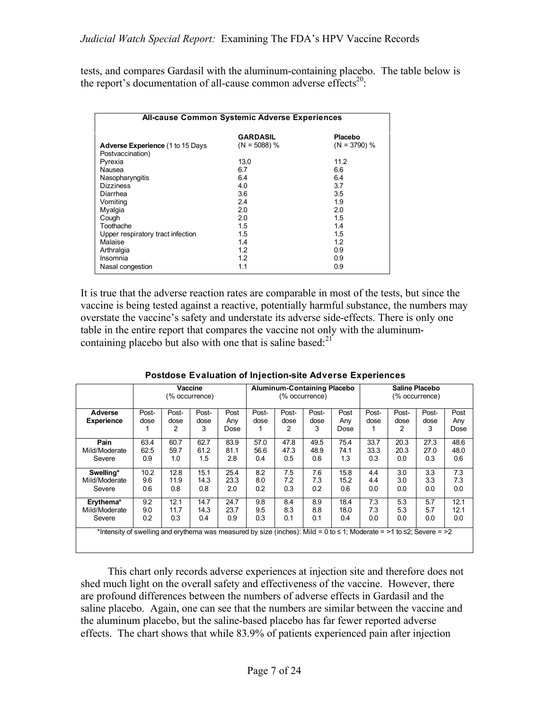tests, and compares Gardasil with the aluminum-containing placebo. The table below is the report's documentation of all-cause common adverse effects<sup>20</sup>:

| <b>All-cause Common Systemic Adverse Experiences</b> |                 |                |  |  |  |  |
|------------------------------------------------------|-----------------|----------------|--|--|--|--|
|                                                      | <b>GARDASIL</b> | Placebo        |  |  |  |  |
| <b>Adverse Experience (1 to 15 Days</b>              | $(N = 5088)$ %  | $(N = 3790)$ % |  |  |  |  |
| Postvaccination)                                     |                 |                |  |  |  |  |
| Pyrexia                                              | 13.0            | 11.2           |  |  |  |  |
| Nausea                                               | 6.7             | 6.6            |  |  |  |  |
| Nasopharyngitis                                      | 6.4             | 6.4            |  |  |  |  |
| <b>Dizziness</b>                                     | 4.0             | 3.7            |  |  |  |  |
| Diarrhea                                             | 3.6             | 3.5            |  |  |  |  |
| Vomiting                                             | 2.4             | 1.9            |  |  |  |  |
| Myalgia                                              | 2.0             | 2.0            |  |  |  |  |
| Cough                                                | 2.0             | 1.5            |  |  |  |  |
| Toothache                                            | 1.5             | 1.4            |  |  |  |  |
| Upper respiratory tract infection                    | 1.5             | 1.5            |  |  |  |  |
| Malaise                                              | 1.4             | 1.2            |  |  |  |  |
| Arthralgia                                           | 1.2             | 0.9            |  |  |  |  |
| Insomnia                                             | 1.2             | 0.9            |  |  |  |  |
| Nasal congestion                                     | 1.1             | 0.9            |  |  |  |  |

It is true that the adverse reaction rates are comparable in most of the tests, but since the vaccine is being tested against a reactive, potentially harmful substance, the numbers may overstate the vaccine's safety and understate its adverse side-effects. There is only one table in the entire report that compares the vaccine not only with the aluminumcontaining placebo but also with one that is saline based: $21^{\circ}$ 

|                                                                                                                                   | Vaccine        |       |       | <b>Aluminum-Containing Placebo</b> |       |       | Saline Placebo |      |       |       |       |      |
|-----------------------------------------------------------------------------------------------------------------------------------|----------------|-------|-------|------------------------------------|-------|-------|----------------|------|-------|-------|-------|------|
|                                                                                                                                   | (% occurrence) |       |       | (% occurrence)                     |       |       | (% occurrence) |      |       |       |       |      |
| Adverse                                                                                                                           | Post-          | Post- | Post- | Post                               | Post- | Post- | Post-          | Post | Post- | Post- | Post- | Post |
| <b>Experience</b>                                                                                                                 | dose           | dose  | dose  | Any                                | dose  | dose  | dose           | Anv  | dose  | dose  | dose  | Any  |
|                                                                                                                                   |                | 2     | 3     | Dose                               |       | 2     | 3              | Dose |       | 2     | 3     | Dose |
| Pain                                                                                                                              | 63.4           | 60.7  | 62.7  | 83.9                               | 57.0  | 47.8  | 49.5           | 75.4 | 33.7  | 20.3  | 27.3  | 48.6 |
| Mild/Moderate                                                                                                                     | 62.5           | 59.7  | 61.2  | 81.1                               | 56.6  | 47.3  | 48.9           | 74.1 | 33.3  | 20.3  | 27.0  | 48.0 |
| Severe                                                                                                                            | 0.9            | 1.0   | 1.5   | 2.8                                | 0.4   | 0.5   | 0.6            | 1.3  | 0.3   | 0.0   | 0.3   | 0.6  |
| Swelling*                                                                                                                         | 10.2           | 12.8  | 15.1  | 25.4                               | 8.2   | 7.5   | 7.6            | 15.8 | 4.4   | 3.0   | 3.3   | 7.3  |
| Mild/Moderate                                                                                                                     | 9.6            | 11.9  | 14.3  | 23.3                               | 8.0   | 7.2   | 7.3            | 15.2 | 4.4   | 3.0   | 3.3   | 7.3  |
| Severe                                                                                                                            | 0.6            | 0.8   | 0.8   | 2.0                                | 0.2   | 0.3   | 0.2            | 0.6  | 0.0   | 0.0   | 0.0   | 0.0  |
| Erythema*                                                                                                                         | 9.2            | 12.1  | 14.7  | 24.7                               | 9.8   | 8.4   | 8.9            | 18.4 | 7.3   | 5.3   | 5.7   | 12.1 |
| Mild/Moderate                                                                                                                     | 9.0            | 11.7  | 14.3  | 23.7                               | 9.5   | 8.3   | 8.8            | 18.0 | 7.3   | 5.3   | 5.7   | 12.1 |
| Severe                                                                                                                            | 0.2            | 0.3   | 0.4   | 0.9                                | 0.3   | 0.1   | 0.1            | 0.4  | 0.0   | 0.0   | 0.0   | 0.0  |
| *Intensity of swelling and erythema was measured by size (inches): Mild = $0$ to $\leq$ 1; Moderate = >1 to $\leq$ 2; Severe = >2 |                |       |       |                                    |       |       |                |      |       |       |       |      |

| Postdose Evaluation of Injection-site Adverse Experiences |  |
|-----------------------------------------------------------|--|

 This chart only records adverse experiences at injection site and therefore does not shed much light on the overall safety and effectiveness of the vaccine. However, there are profound differences between the numbers of adverse effects in Gardasil and the saline placebo. Again, one can see that the numbers are similar between the vaccine and the aluminum placebo, but the saline-based placebo has far fewer reported adverse effects. The chart shows that while 83.9% of patients experienced pain after injection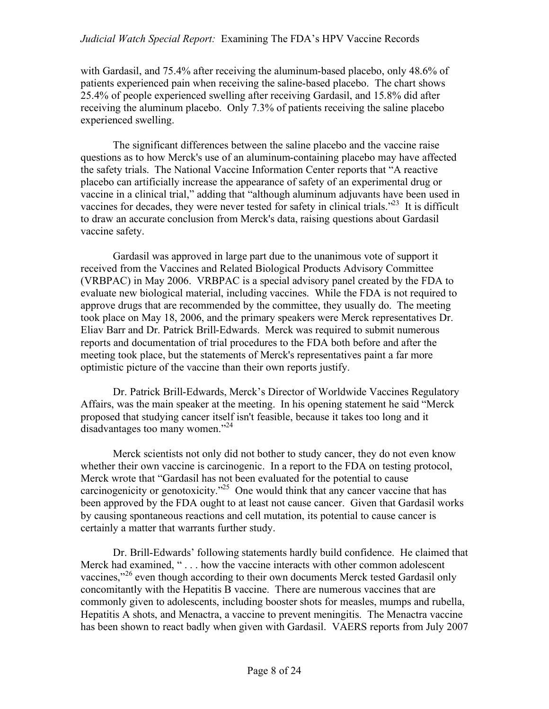with Gardasil, and 75.4% after receiving the aluminum-based placebo, only 48.6% of patients experienced pain when receiving the saline-based placebo. The chart shows 25.4% of people experienced swelling after receiving Gardasil, and 15.8% did after receiving the aluminum placebo. Only 7.3% of patients receiving the saline placebo experienced swelling.

The significant differences between the saline placebo and the vaccine raise questions as to how Merck's use of an aluminum-containing placebo may have affected the safety trials. The National Vaccine Information Center reports that "A reactive placebo can artificially increase the appearance of safety of an experimental drug or vaccine in a clinical trial," adding that "although aluminum adjuvants have been used in vaccines for decades, they were never tested for safety in clinical trials."<sup>23</sup> It is difficult to draw an accurate conclusion from Merck's data, raising questions about Gardasil vaccine safety.

Gardasil was approved in large part due to the unanimous vote of support it received from the Vaccines and Related Biological Products Advisory Committee (VRBPAC) in May 2006. VRBPAC is a special advisory panel created by the FDA to evaluate new biological material, including vaccines. While the FDA is not required to approve drugs that are recommended by the committee, they usually do. The meeting took place on May 18, 2006, and the primary speakers were Merck representatives Dr. Eliav Barr and Dr. Patrick Brill-Edwards. Merck was required to submit numerous reports and documentation of trial procedures to the FDA both before and after the meeting took place, but the statements of Merck's representatives paint a far more optimistic picture of the vaccine than their own reports justify.

Dr. Patrick Brill-Edwards, Merck's Director of Worldwide Vaccines Regulatory Affairs, was the main speaker at the meeting. In his opening statement he said "Merck proposed that studying cancer itself isn't feasible, because it takes too long and it disadvantages too many women."24

Merck scientists not only did not bother to study cancer, they do not even know whether their own vaccine is carcinogenic. In a report to the FDA on testing protocol, Merck wrote that "Gardasil has not been evaluated for the potential to cause carcinogenicity or genotoxicity. $125$  One would think that any cancer vaccine that has been approved by the FDA ought to at least not cause cancer. Given that Gardasil works by causing spontaneous reactions and cell mutation, its potential to cause cancer is certainly a matter that warrants further study.

Dr. Brill-Edwards' following statements hardly build confidence. He claimed that Merck had examined, "... how the vaccine interacts with other common adolescent vaccines,"<sup>26</sup> even though according to their own documents Merck tested Gardasil only concomitantly with the Hepatitis B vaccine. There are numerous vaccines that are commonly given to adolescents, including booster shots for measles, mumps and rubella, Hepatitis A shots, and Menactra, a vaccine to prevent meningitis. The Menactra vaccine has been shown to react badly when given with Gardasil. VAERS reports from July 2007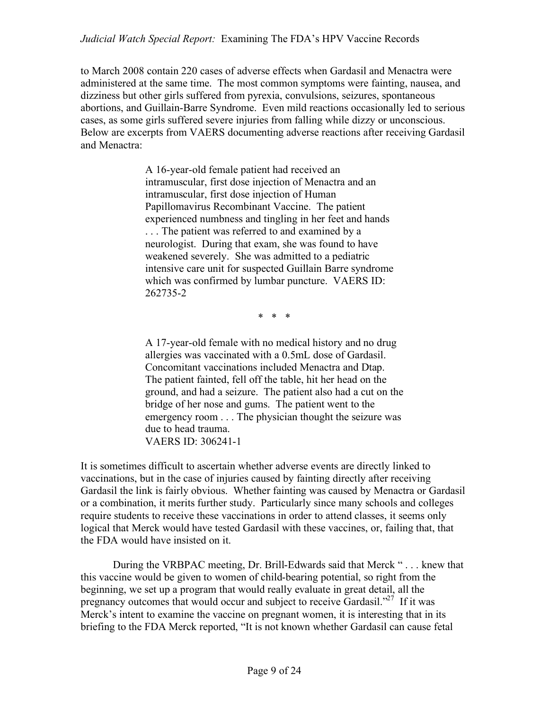#### *Judicial Watch Special Report:* Examining The FDA's HPV Vaccine Records

to March 2008 contain 220 cases of adverse effects when Gardasil and Menactra were administered at the same time. The most common symptoms were fainting, nausea, and dizziness but other girls suffered from pyrexia, convulsions, seizures, spontaneous abortions, and Guillain-Barre Syndrome. Even mild reactions occasionally led to serious cases, as some girls suffered severe injuries from falling while dizzy or unconscious. Below are excerpts from VAERS documenting adverse reactions after receiving Gardasil and Menactra:

> A 16-year-old female patient had received an intramuscular, first dose injection of Menactra and an intramuscular, first dose injection of Human Papillomavirus Recombinant Vaccine. The patient experienced numbness and tingling in her feet and hands . . . The patient was referred to and examined by a neurologist. During that exam, she was found to have weakened severely. She was admitted to a pediatric intensive care unit for suspected Guillain Barre syndrome which was confirmed by lumbar puncture. VAERS ID: 262735-2

> > \* \* \*

A 17-year-old female with no medical history and no drug allergies was vaccinated with a 0.5mL dose of Gardasil. Concomitant vaccinations included Menactra and Dtap. The patient fainted, fell off the table, hit her head on the ground, and had a seizure. The patient also had a cut on the bridge of her nose and gums. The patient went to the emergency room . . . The physician thought the seizure was due to head trauma. VAERS ID: 306241-1

It is sometimes difficult to ascertain whether adverse events are directly linked to vaccinations, but in the case of injuries caused by fainting directly after receiving Gardasil the link is fairly obvious. Whether fainting was caused by Menactra or Gardasil or a combination, it merits further study. Particularly since many schools and colleges require students to receive these vaccinations in order to attend classes, it seems only logical that Merck would have tested Gardasil with these vaccines, or, failing that, that the FDA would have insisted on it.

During the VRBPAC meeting, Dr. Brill-Edwards said that Merck " . . . knew that this vaccine would be given to women of child-bearing potential, so right from the beginning, we set up a program that would really evaluate in great detail, all the pregnancy outcomes that would occur and subject to receive Gardasil."<sup>27</sup> If it was Merck's intent to examine the vaccine on pregnant women, it is interesting that in its briefing to the FDA Merck reported, "It is not known whether Gardasil can cause fetal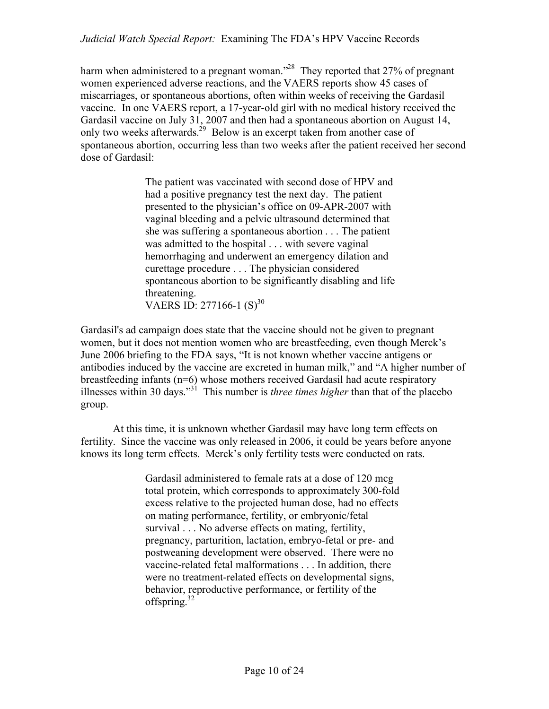harm when administered to a pregnant woman."<sup>28</sup> They reported that 27% of pregnant women experienced adverse reactions, and the VAERS reports show 45 cases of miscarriages, or spontaneous abortions, often within weeks of receiving the Gardasil vaccine. In one VAERS report, a 17-year-old girl with no medical history received the Gardasil vaccine on July 31, 2007 and then had a spontaneous abortion on August 14, only two weeks afterwards.<sup>29</sup> Below is an excerpt taken from another case of spontaneous abortion, occurring less than two weeks after the patient received her second dose of Gardasil:

> The patient was vaccinated with second dose of HPV and had a positive pregnancy test the next day. The patient presented to the physician's office on 09-APR-2007 with vaginal bleeding and a pelvic ultrasound determined that she was suffering a spontaneous abortion . . . The patient was admitted to the hospital . . . with severe vaginal hemorrhaging and underwent an emergency dilation and curettage procedure . . . The physician considered spontaneous abortion to be significantly disabling and life threatening. VAERS ID: 277166-1  $(S)^{30}$

Gardasil's ad campaign does state that the vaccine should not be given to pregnant women, but it does not mention women who are breastfeeding, even though Merck's June 2006 briefing to the FDA says, "It is not known whether vaccine antigens or antibodies induced by the vaccine are excreted in human milk," and "A higher number of breastfeeding infants (n=6) whose mothers received Gardasil had acute respiratory illnesses within 30 days."31 This number is *three times higher* than that of the placebo group.

At this time, it is unknown whether Gardasil may have long term effects on fertility. Since the vaccine was only released in 2006, it could be years before anyone knows its long term effects. Merck's only fertility tests were conducted on rats.

> Gardasil administered to female rats at a dose of 120 mcg total protein, which corresponds to approximately 300-fold excess relative to the projected human dose, had no effects on mating performance, fertility, or embryonic/fetal survival . . . No adverse effects on mating, fertility, pregnancy, parturition, lactation, embryo-fetal or pre- and postweaning development were observed. There were no vaccine-related fetal malformations . . . In addition, there were no treatment-related effects on developmental signs, behavior, reproductive performance, or fertility of the offspring.<sup>32</sup>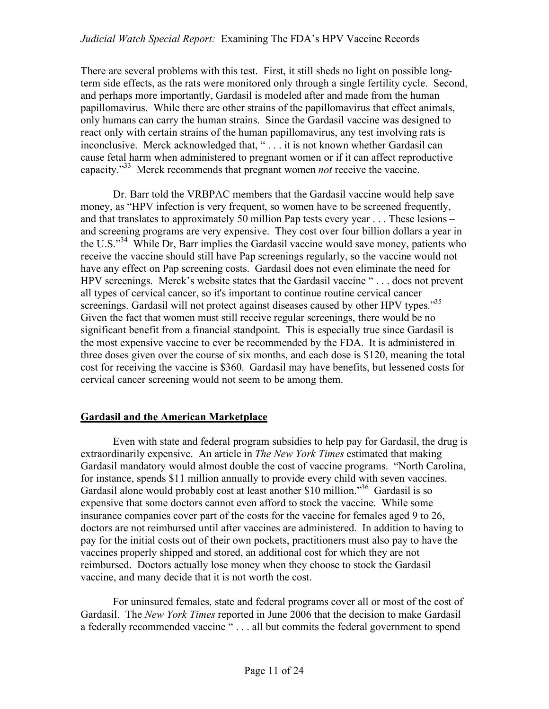There are several problems with this test. First, it still sheds no light on possible longterm side effects, as the rats were monitored only through a single fertility cycle. Second, and perhaps more importantly, Gardasil is modeled after and made from the human papillomavirus. While there are other strains of the papillomavirus that effect animals, only humans can carry the human strains. Since the Gardasil vaccine was designed to react only with certain strains of the human papillomavirus, any test involving rats is inconclusive. Merck acknowledged that, " . . . it is not known whether Gardasil can cause fetal harm when administered to pregnant women or if it can affect reproductive capacity."33 Merck recommends that pregnant women *not* receive the vaccine.

Dr. Barr told the VRBPAC members that the Gardasil vaccine would help save money, as "HPV infection is very frequent, so women have to be screened frequently, and that translates to approximately 50 million Pap tests every year . . . These lesions – and screening programs are very expensive. They cost over four billion dollars a year in the U.S."<sup>34</sup> While Dr, Barr implies the Gardasil vaccine would save money, patients who receive the vaccine should still have Pap screenings regularly, so the vaccine would not have any effect on Pap screening costs. Gardasil does not even eliminate the need for HPV screenings. Merck's website states that the Gardasil vaccine " . . . does not prevent all types of cervical cancer, so it's important to continue routine cervical cancer screenings. Gardasil will not protect against diseases caused by other HPV types.<sup>355</sup> Given the fact that women must still receive regular screenings, there would be no significant benefit from a financial standpoint. This is especially true since Gardasil is the most expensive vaccine to ever be recommended by the FDA. It is administered in three doses given over the course of six months, and each dose is \$120, meaning the total cost for receiving the vaccine is \$360. Gardasil may have benefits, but lessened costs for cervical cancer screening would not seem to be among them.

#### **Gardasil and the American Marketplace**

Even with state and federal program subsidies to help pay for Gardasil, the drug is extraordinarily expensive. An article in *The New York Times* estimated that making Gardasil mandatory would almost double the cost of vaccine programs. "North Carolina, for instance, spends \$11 million annually to provide every child with seven vaccines. Gardasil alone would probably cost at least another \$10 million.<sup>356</sup> Gardasil is so expensive that some doctors cannot even afford to stock the vaccine. While some insurance companies cover part of the costs for the vaccine for females aged 9 to 26, doctors are not reimbursed until after vaccines are administered. In addition to having to pay for the initial costs out of their own pockets, practitioners must also pay to have the vaccines properly shipped and stored, an additional cost for which they are not reimbursed. Doctors actually lose money when they choose to stock the Gardasil vaccine, and many decide that it is not worth the cost.

For uninsured females, state and federal programs cover all or most of the cost of Gardasil. The *New York Times* reported in June 2006 that the decision to make Gardasil a federally recommended vaccine " . . . all but commits the federal government to spend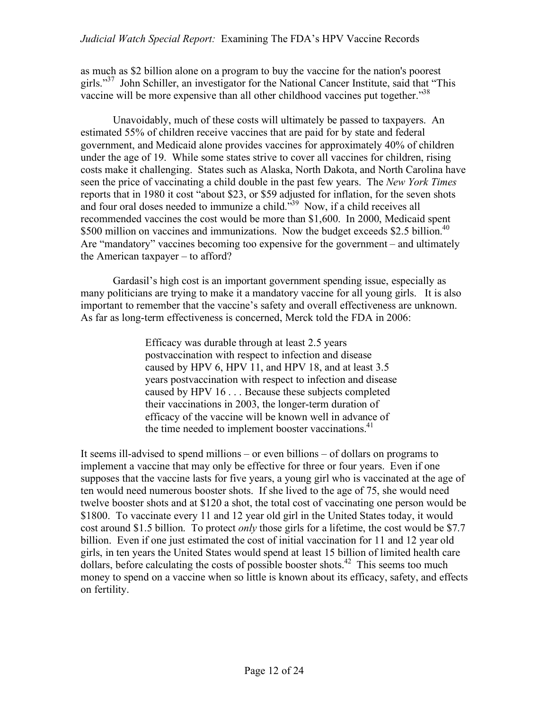as much as \$2 billion alone on a program to buy the vaccine for the nation's poorest girls."<sup>37</sup> John Schiller, an investigator for the National Cancer Institute, said that "This vaccine will be more expensive than all other childhood vaccines put together."<sup>38</sup>

Unavoidably, much of these costs will ultimately be passed to taxpayers. An estimated 55% of children receive vaccines that are paid for by state and federal government, and Medicaid alone provides vaccines for approximately 40% of children under the age of 19. While some states strive to cover all vaccines for children, rising costs make it challenging. States such as Alaska, North Dakota, and North Carolina have seen the price of vaccinating a child double in the past few years. The *New York Times* reports that in 1980 it cost "about \$23, or \$59 adjusted for inflation, for the seven shots and four oral doses needed to immunize a child.<sup>539</sup> Now, if a child receives all recommended vaccines the cost would be more than \$1,600. In 2000, Medicaid spent \$500 million on vaccines and immunizations. Now the budget exceeds \$2.5 billion.<sup>40</sup> Are "mandatory" vaccines becoming too expensive for the government – and ultimately the American taxpayer – to afford?

Gardasil's high cost is an important government spending issue, especially as many politicians are trying to make it a mandatory vaccine for all young girls. It is also important to remember that the vaccine's safety and overall effectiveness are unknown. As far as long-term effectiveness is concerned, Merck told the FDA in 2006:

> Efficacy was durable through at least 2.5 years postvaccination with respect to infection and disease caused by HPV 6, HPV 11, and HPV 18, and at least 3.5 years postvaccination with respect to infection and disease caused by HPV 16 . . . Because these subjects completed their vaccinations in 2003, the longer-term duration of efficacy of the vaccine will be known well in advance of the time needed to implement booster vaccinations.<sup>41</sup>

It seems ill-advised to spend millions – or even billions – of dollars on programs to implement a vaccine that may only be effective for three or four years. Even if one supposes that the vaccine lasts for five years, a young girl who is vaccinated at the age of ten would need numerous booster shots. If she lived to the age of 75, she would need twelve booster shots and at \$120 a shot, the total cost of vaccinating one person would be \$1800. To vaccinate every 11 and 12 year old girl in the United States today, it would cost around \$1.5 billion. To protect *only* those girls for a lifetime, the cost would be \$7.7 billion. Even if one just estimated the cost of initial vaccination for 11 and 12 year old girls, in ten years the United States would spend at least 15 billion of limited health care dollars, before calculating the costs of possible booster shots.<sup>42</sup> This seems too much money to spend on a vaccine when so little is known about its efficacy, safety, and effects on fertility.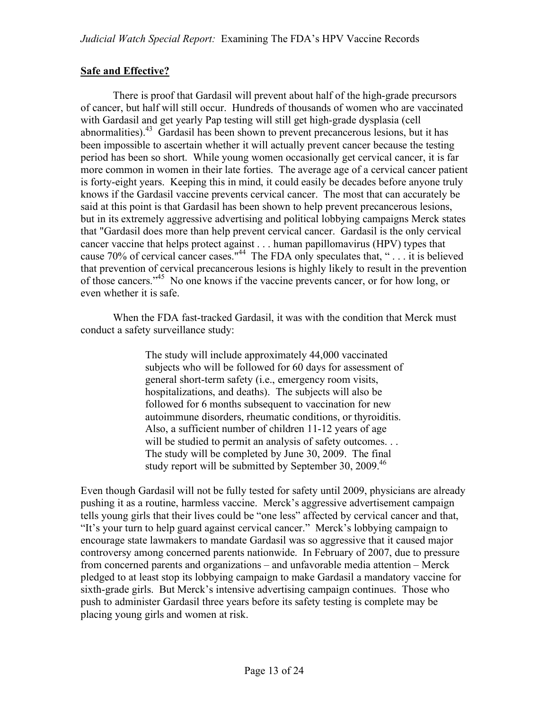#### **Safe and Effective?**

There is proof that Gardasil will prevent about half of the high-grade precursors of cancer, but half will still occur. Hundreds of thousands of women who are vaccinated with Gardasil and get yearly Pap testing will still get high-grade dysplasia (cell abnormalities).<sup>43</sup> Gardasil has been shown to prevent precancerous lesions, but it has been impossible to ascertain whether it will actually prevent cancer because the testing period has been so short. While young women occasionally get cervical cancer, it is far more common in women in their late forties. The average age of a cervical cancer patient is forty-eight years. Keeping this in mind, it could easily be decades before anyone truly knows if the Gardasil vaccine prevents cervical cancer. The most that can accurately be said at this point is that Gardasil has been shown to help prevent precancerous lesions, but in its extremely aggressive advertising and political lobbying campaigns Merck states that "Gardasil does more than help prevent cervical cancer. Gardasil is the only cervical cancer vaccine that helps protect against . . . human papillomavirus (HPV) types that cause 70% of cervical cancer cases."44 The FDA only speculates that, " . . . it is believed that prevention of cervical precancerous lesions is highly likely to result in the prevention of those cancers."<sup>45</sup> No one knows if the vaccine prevents cancer, or for how long, or even whether it is safe.

When the FDA fast-tracked Gardasil, it was with the condition that Merck must conduct a safety surveillance study:

> The study will include approximately 44,000 vaccinated subjects who will be followed for 60 days for assessment of general short-term safety (i.e., emergency room visits, hospitalizations, and deaths). The subjects will also be followed for 6 months subsequent to vaccination for new autoimmune disorders, rheumatic conditions, or thyroiditis. Also, a sufficient number of children 11-12 years of age will be studied to permit an analysis of safety outcomes. . . The study will be completed by June 30, 2009. The final study report will be submitted by September 30, 2009.<sup>46</sup>

Even though Gardasil will not be fully tested for safety until 2009, physicians are already pushing it as a routine, harmless vaccine. Merck's aggressive advertisement campaign tells young girls that their lives could be "one less" affected by cervical cancer and that, "It's your turn to help guard against cervical cancer." Merck's lobbying campaign to encourage state lawmakers to mandate Gardasil was so aggressive that it caused major controversy among concerned parents nationwide. In February of 2007, due to pressure from concerned parents and organizations – and unfavorable media attention – Merck pledged to at least stop its lobbying campaign to make Gardasil a mandatory vaccine for sixth-grade girls. But Merck's intensive advertising campaign continues. Those who push to administer Gardasil three years before its safety testing is complete may be placing young girls and women at risk.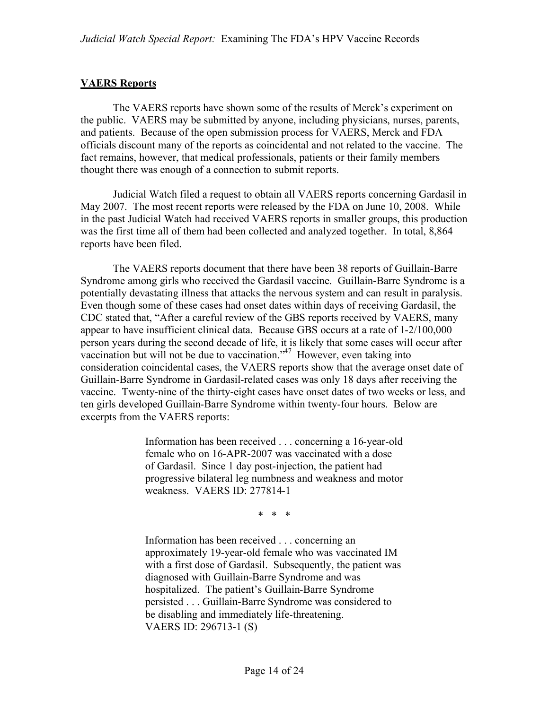#### **VAERS Reports**

The VAERS reports have shown some of the results of Merck's experiment on the public. VAERS may be submitted by anyone, including physicians, nurses, parents, and patients. Because of the open submission process for VAERS, Merck and FDA officials discount many of the reports as coincidental and not related to the vaccine. The fact remains, however, that medical professionals, patients or their family members thought there was enough of a connection to submit reports.

Judicial Watch filed a request to obtain all VAERS reports concerning Gardasil in May 2007. The most recent reports were released by the FDA on June 10, 2008. While in the past Judicial Watch had received VAERS reports in smaller groups, this production was the first time all of them had been collected and analyzed together. In total, 8,864 reports have been filed.

The VAERS reports document that there have been 38 reports of Guillain-Barre Syndrome among girls who received the Gardasil vaccine. Guillain-Barre Syndrome is a potentially devastating illness that attacks the nervous system and can result in paralysis. Even though some of these cases had onset dates within days of receiving Gardasil, the CDC stated that, "After a careful review of the GBS reports received by VAERS, many appear to have insufficient clinical data. Because GBS occurs at a rate of 1-2/100,000 person years during the second decade of life, it is likely that some cases will occur after vaccination but will not be due to vaccination."<sup> $47$ </sup> However, even taking into consideration coincidental cases, the VAERS reports show that the average onset date of Guillain-Barre Syndrome in Gardasil-related cases was only 18 days after receiving the vaccine. Twenty-nine of the thirty-eight cases have onset dates of two weeks or less, and ten girls developed Guillain-Barre Syndrome within twenty-four hours. Below are excerpts from the VAERS reports:

> Information has been received . . . concerning a 16-year-old female who on 16-APR-2007 was vaccinated with a dose of Gardasil. Since 1 day post-injection, the patient had progressive bilateral leg numbness and weakness and motor weakness. VAERS ID: 277814-1

> > \* \* \*

Information has been received . . . concerning an approximately 19-year-old female who was vaccinated IM with a first dose of Gardasil. Subsequently, the patient was diagnosed with Guillain-Barre Syndrome and was hospitalized. The patient's Guillain-Barre Syndrome persisted . . . Guillain-Barre Syndrome was considered to be disabling and immediately life-threatening. VAERS ID: 296713-1 (S)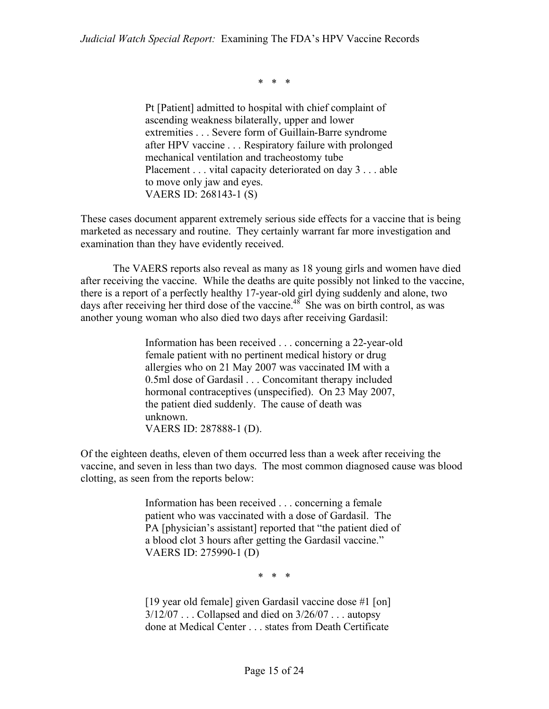\* \* \*

Pt [Patient] admitted to hospital with chief complaint of ascending weakness bilaterally, upper and lower extremities . . . Severe form of Guillain-Barre syndrome after HPV vaccine . . . Respiratory failure with prolonged mechanical ventilation and tracheostomy tube Placement . . . vital capacity deteriorated on day 3 . . . able to move only jaw and eyes. VAERS ID: 268143-1 (S)

These cases document apparent extremely serious side effects for a vaccine that is being marketed as necessary and routine. They certainly warrant far more investigation and examination than they have evidently received.

The VAERS reports also reveal as many as 18 young girls and women have died after receiving the vaccine. While the deaths are quite possibly not linked to the vaccine, there is a report of a perfectly healthy 17-year-old girl dying suddenly and alone, two days after receiving her third dose of the vaccine.<sup>48</sup> She was on birth control, as was another young woman who also died two days after receiving Gardasil:

> Information has been received . . . concerning a 22-year-old female patient with no pertinent medical history or drug allergies who on 21 May 2007 was vaccinated IM with a 0.5ml dose of Gardasil . . . Concomitant therapy included hormonal contraceptives (unspecified). On 23 May 2007, the patient died suddenly. The cause of death was unknown. VAERS ID: 287888-1 (D).

Of the eighteen deaths, eleven of them occurred less than a week after receiving the vaccine, and seven in less than two days. The most common diagnosed cause was blood clotting, as seen from the reports below:

> Information has been received . . . concerning a female patient who was vaccinated with a dose of Gardasil. The PA [physician's assistant] reported that "the patient died of a blood clot 3 hours after getting the Gardasil vaccine." VAERS ID: 275990-1 (D)

> > \* \* \*

[19 year old female] given Gardasil vaccine dose #1 [on] 3/12/07 . . . Collapsed and died on 3/26/07 . . . autopsy done at Medical Center . . . states from Death Certificate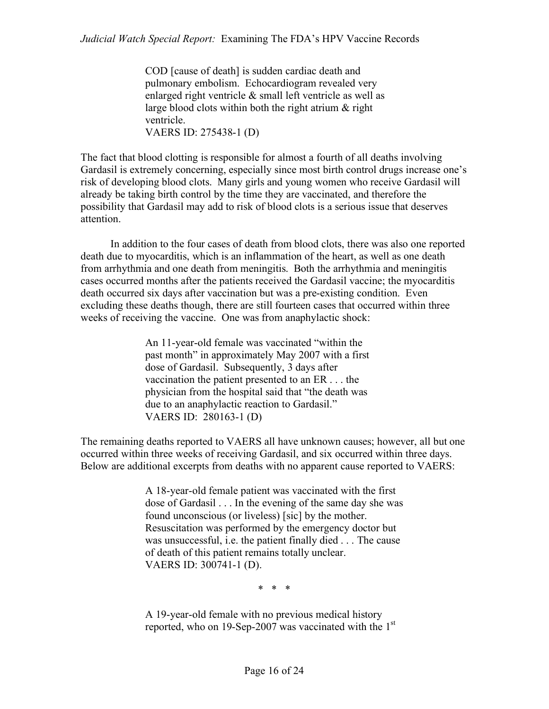COD [cause of death] is sudden cardiac death and pulmonary embolism. Echocardiogram revealed very enlarged right ventricle & small left ventricle as well as large blood clots within both the right atrium & right ventricle. VAERS ID: 275438-1 (D)

The fact that blood clotting is responsible for almost a fourth of all deaths involving Gardasil is extremely concerning, especially since most birth control drugs increase one's risk of developing blood clots. Many girls and young women who receive Gardasil will already be taking birth control by the time they are vaccinated, and therefore the possibility that Gardasil may add to risk of blood clots is a serious issue that deserves attention.

 In addition to the four cases of death from blood clots, there was also one reported death due to myocarditis, which is an inflammation of the heart, as well as one death from arrhythmia and one death from meningitis. Both the arrhythmia and meningitis cases occurred months after the patients received the Gardasil vaccine; the myocarditis death occurred six days after vaccination but was a pre-existing condition. Even excluding these deaths though, there are still fourteen cases that occurred within three weeks of receiving the vaccine. One was from anaphylactic shock:

> An 11-year-old female was vaccinated "within the past month" in approximately May 2007 with a first dose of Gardasil. Subsequently, 3 days after vaccination the patient presented to an ER . . . the physician from the hospital said that "the death was due to an anaphylactic reaction to Gardasil." VAERS ID: 280163-1 (D)

The remaining deaths reported to VAERS all have unknown causes; however, all but one occurred within three weeks of receiving Gardasil, and six occurred within three days. Below are additional excerpts from deaths with no apparent cause reported to VAERS:

> A 18-year-old female patient was vaccinated with the first dose of Gardasil . . . In the evening of the same day she was found unconscious (or liveless) [sic] by the mother. Resuscitation was performed by the emergency doctor but was unsuccessful, i.e. the patient finally died . . . The cause of death of this patient remains totally unclear. VAERS ID: 300741-1 (D).

> > \* \* \*

A 19-year-old female with no previous medical history reported, who on 19-Sep-2007 was vaccinated with the 1<sup>st</sup>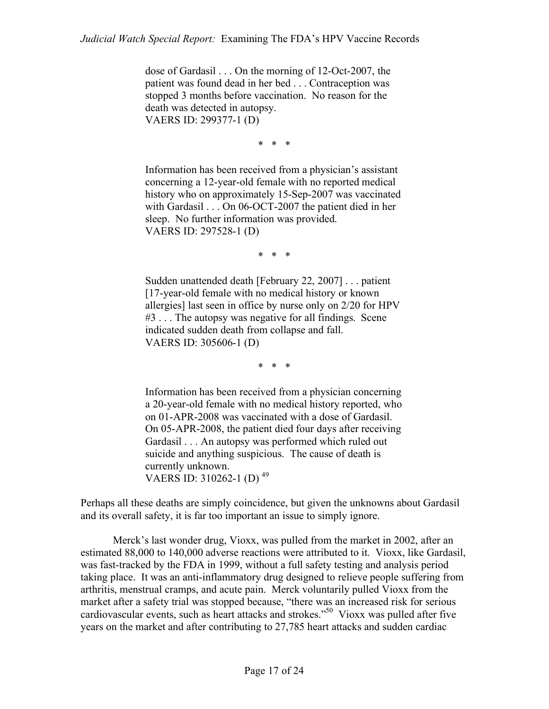dose of Gardasil . . . On the morning of 12-Oct-2007, the patient was found dead in her bed . . . Contraception was stopped 3 months before vaccination. No reason for the death was detected in autopsy. VAERS ID: 299377-1 (D)

\* \* \*

Information has been received from a physician's assistant concerning a 12-year-old female with no reported medical history who on approximately 15-Sep-2007 was vaccinated with Gardasil . . . On 06-OCT-2007 the patient died in her sleep. No further information was provided. VAERS ID: 297528-1 (D)

\* \* \*

Sudden unattended death [February 22, 2007] . . . patient [17-year-old female with no medical history or known allergies] last seen in office by nurse only on 2/20 for HPV #3 . . . The autopsy was negative for all findings. Scene indicated sudden death from collapse and fall. VAERS ID: 305606-1 (D)

\* \* \*

Information has been received from a physician concerning a 20-year-old female with no medical history reported, who on 01-APR-2008 was vaccinated with a dose of Gardasil. On 05-APR-2008, the patient died four days after receiving Gardasil . . . An autopsy was performed which ruled out suicide and anything suspicious. The cause of death is currently unknown. VAERS ID: 310262-1 (D) 49

Perhaps all these deaths are simply coincidence, but given the unknowns about Gardasil and its overall safety, it is far too important an issue to simply ignore.

Merck's last wonder drug, Vioxx, was pulled from the market in 2002, after an estimated 88,000 to 140,000 adverse reactions were attributed to it. Vioxx, like Gardasil, was fast-tracked by the FDA in 1999, without a full safety testing and analysis period taking place. It was an anti-inflammatory drug designed to relieve people suffering from arthritis, menstrual cramps, and acute pain. Merck voluntarily pulled Vioxx from the market after a safety trial was stopped because, "there was an increased risk for serious cardiovascular events, such as heart attacks and strokes."50 Vioxx was pulled after five years on the market and after contributing to 27,785 heart attacks and sudden cardiac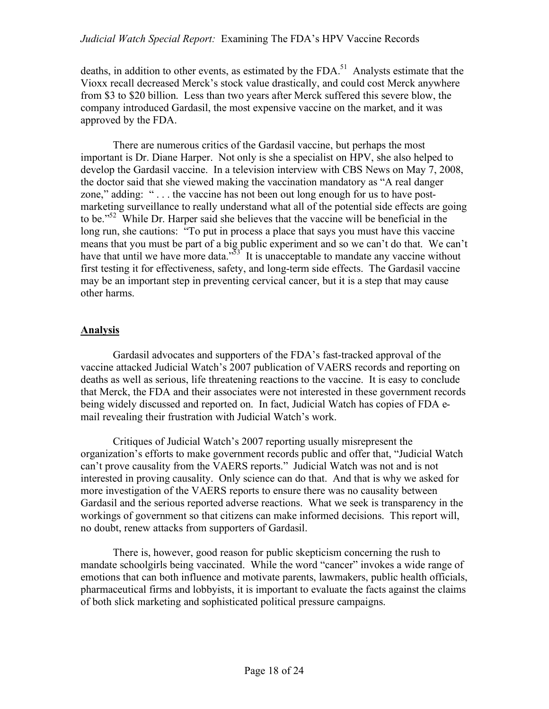deaths, in addition to other events, as estimated by the FDA.<sup>51</sup> Analysts estimate that the Vioxx recall decreased Merck's stock value drastically, and could cost Merck anywhere from \$3 to \$20 billion. Less than two years after Merck suffered this severe blow, the company introduced Gardasil, the most expensive vaccine on the market, and it was approved by the FDA.

There are numerous critics of the Gardasil vaccine, but perhaps the most important is Dr. Diane Harper. Not only is she a specialist on HPV, she also helped to develop the Gardasil vaccine. In a television interview with CBS News on May 7, 2008, the doctor said that she viewed making the vaccination mandatory as "A real danger zone," adding: " . . . the vaccine has not been out long enough for us to have postmarketing surveillance to really understand what all of the potential side effects are going to be."52 While Dr. Harper said she believes that the vaccine will be beneficial in the long run, she cautions: "To put in process a place that says you must have this vaccine means that you must be part of a big public experiment and so we can't do that. We can't have that until we have more data. $\frac{553}{100}$  It is unacceptable to mandate any vaccine without first testing it for effectiveness, safety, and long-term side effects. The Gardasil vaccine may be an important step in preventing cervical cancer, but it is a step that may cause other harms.

#### **Analysis**

Gardasil advocates and supporters of the FDA's fast-tracked approval of the vaccine attacked Judicial Watch's 2007 publication of VAERS records and reporting on deaths as well as serious, life threatening reactions to the vaccine. It is easy to conclude that Merck, the FDA and their associates were not interested in these government records being widely discussed and reported on. In fact, Judicial Watch has copies of FDA email revealing their frustration with Judicial Watch's work.

Critiques of Judicial Watch's 2007 reporting usually misrepresent the organization's efforts to make government records public and offer that, "Judicial Watch can't prove causality from the VAERS reports." Judicial Watch was not and is not interested in proving causality. Only science can do that. And that is why we asked for more investigation of the VAERS reports to ensure there was no causality between Gardasil and the serious reported adverse reactions. What we seek is transparency in the workings of government so that citizens can make informed decisions. This report will, no doubt, renew attacks from supporters of Gardasil.

There is, however, good reason for public skepticism concerning the rush to mandate schoolgirls being vaccinated. While the word "cancer" invokes a wide range of emotions that can both influence and motivate parents, lawmakers, public health officials, pharmaceutical firms and lobbyists, it is important to evaluate the facts against the claims of both slick marketing and sophisticated political pressure campaigns.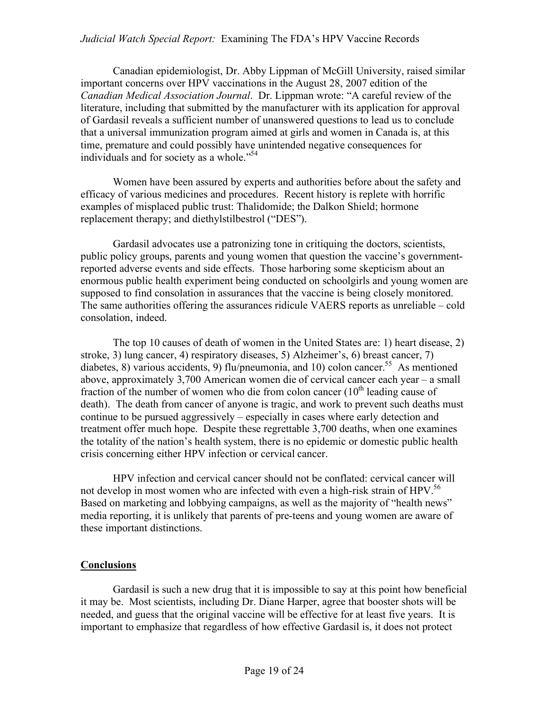#### *Judicial Watch Special Report:* Examining The FDA's HPV Vaccine Records

Canadian epidemiologist, Dr. Abby Lippman of McGill University, raised similar important concerns over HPV vaccinations in the August 28, 2007 edition of the *Canadian Medical Association Journal*. Dr. Lippman wrote: "A careful review of the literature, including that submitted by the manufacturer with its application for approval of Gardasil reveals a sufficient number of unanswered questions to lead us to conclude that a universal immunization program aimed at girls and women in Canada is, at this time, premature and could possibly have unintended negative consequences for individuals and for society as a whole."<sup>54</sup>

Women have been assured by experts and authorities before about the safety and efficacy of various medicines and procedures. Recent history is replete with horrific examples of misplaced public trust: Thalidomide; the Dalkon Shield; hormone replacement therapy; and diethylstilbestrol ("DES").

Gardasil advocates use a patronizing tone in critiquing the doctors, scientists, public policy groups, parents and young women that question the vaccine's governmentreported adverse events and side effects. Those harboring some skepticism about an enormous public health experiment being conducted on schoolgirls and young women are supposed to find consolation in assurances that the vaccine is being closely monitored. The same authorities offering the assurances ridicule VAERS reports as unreliable – cold consolation, indeed.

The top 10 causes of death of women in the United States are: 1) heart disease, 2) stroke, 3) lung cancer, 4) respiratory diseases, 5) Alzheimer's, 6) breast cancer, 7) diabetes, 8) various accidents, 9) flu/pneumonia, and 10) colon cancer.<sup>55</sup> As mentioned above, approximately 3,700 American women die of cervical cancer each year – a small fraction of the number of women who die from colon cancer  $(10<sup>th</sup>$  leading cause of death). The death from cancer of anyone is tragic, and work to prevent such deaths must continue to be pursued aggressively – especially in cases where early detection and treatment offer much hope. Despite these regrettable 3,700 deaths, when one examines the totality of the nation's health system, there is no epidemic or domestic public health crisis concerning either HPV infection or cervical cancer.

HPV infection and cervical cancer should not be conflated: cervical cancer will not develop in most women who are infected with even a high-risk strain of HPV.<sup>56</sup> Based on marketing and lobbying campaigns, as well as the majority of "health news" media reporting, it is unlikely that parents of pre-teens and young women are aware of these important distinctions.

#### **Conclusions**

Gardasil is such a new drug that it is impossible to say at this point how beneficial it may be. Most scientists, including Dr. Diane Harper, agree that booster shots will be needed, and guess that the original vaccine will be effective for at least five years. It is important to emphasize that regardless of how effective Gardasil is, it does not protect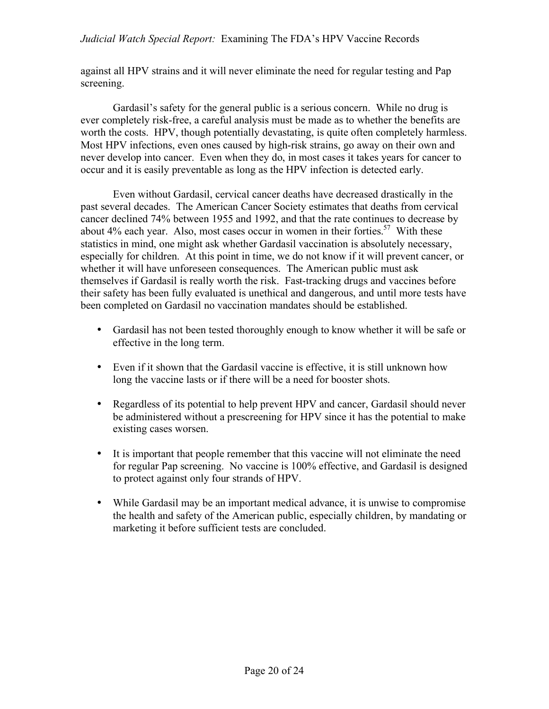against all HPV strains and it will never eliminate the need for regular testing and Pap screening.

Gardasil's safety for the general public is a serious concern. While no drug is ever completely risk-free, a careful analysis must be made as to whether the benefits are worth the costs. HPV, though potentially devastating, is quite often completely harmless. Most HPV infections, even ones caused by high-risk strains, go away on their own and never develop into cancer. Even when they do, in most cases it takes years for cancer to occur and it is easily preventable as long as the HPV infection is detected early.

Even without Gardasil, cervical cancer deaths have decreased drastically in the past several decades. The American Cancer Society estimates that deaths from cervical cancer declined 74% between 1955 and 1992, and that the rate continues to decrease by about 4% each year. Also, most cases occur in women in their forties.<sup>57</sup> With these statistics in mind, one might ask whether Gardasil vaccination is absolutely necessary, especially for children. At this point in time, we do not know if it will prevent cancer, or whether it will have unforeseen consequences. The American public must ask themselves if Gardasil is really worth the risk. Fast-tracking drugs and vaccines before their safety has been fully evaluated is unethical and dangerous, and until more tests have been completed on Gardasil no vaccination mandates should be established.

- Gardasil has not been tested thoroughly enough to know whether it will be safe or effective in the long term.
- Even if it shown that the Gardasil vaccine is effective, it is still unknown how long the vaccine lasts or if there will be a need for booster shots.
- Regardless of its potential to help prevent HPV and cancer, Gardasil should never be administered without a prescreening for HPV since it has the potential to make existing cases worsen.
- It is important that people remember that this vaccine will not eliminate the need for regular Pap screening. No vaccine is 100% effective, and Gardasil is designed to protect against only four strands of HPV.
- While Gardasil may be an important medical advance, it is unwise to compromise the health and safety of the American public, especially children, by mandating or marketing it before sufficient tests are concluded.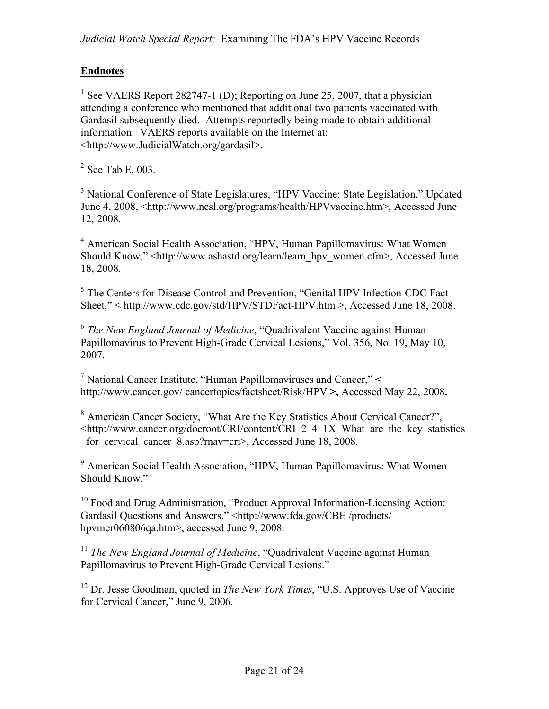## **Endnotes**

<sup>1</sup> See VAERS Report 282747-1 (D); Reporting on June 25, 2007, that a physician attending a conference who mentioned that additional two patients vaccinated with Gardasil subsequently died. Attempts reportedly being made to obtain additional information. VAERS reports available on the Internet at: <http://www.JudicialWatch.org/gardasil>.

 $2$  See Tab E, 003.

<sup>3</sup> National Conference of State Legislatures, "HPV Vaccine: State Legislation," Updated June 4, 2008, <http://www.ncsl.org/programs/health/HPVvaccine.htm>, Accessed June 12, 2008.

4 American Social Health Association, "HPV, Human Papillomavirus: What Women Should Know," <http://www.ashastd.org/learn/learn\_hpv\_women.cfm>, Accessed June 18, 2008.

<sup>5</sup> The Centers for Disease Control and Prevention, "Genital HPV Infection-CDC Fact Sheet," < http://www.cdc.gov/std/HPV/STDFact-HPV.htm >, Accessed June 18, 2008.

<sup>6</sup> *The New England Journal of Medicine*, "Quadrivalent Vaccine against Human Papillomavirus to Prevent High-Grade Cervical Lesions," Vol. 356, No. 19, May 10, 2007.

7 National Cancer Institute, "Human Papillomaviruses and Cancer," **<**  http://www.cancer.gov/ cancertopics/factsheet/Risk/HPV **>,** Accessed May 22, 2008**.**

<sup>8</sup> American Cancer Society, "What Are the Key Statistics About Cervical Cancer?", <http://www.cancer.org/docroot/CRI/content/CRI\_2\_4\_1X\_What\_are\_the\_key\_statistics  $\frac{1}{\pi}$  for\_cervical\_cancer\_8.asp?rnav=cri>, Accessed June 18, 2008.

<sup>9</sup> American Social Health Association, "HPV, Human Papillomavirus: What Women Should Know."

<sup>10</sup> Food and Drug Administration, "Product Approval Information-Licensing Action: Gardasil Questions and Answers," <http://www.fda.gov/CBE /products/ hpymer060806qa.htm>, accessed June 9, 2008.

<sup>11</sup> *The New England Journal of Medicine*, "Quadrivalent Vaccine against Human Papillomavirus to Prevent High-Grade Cervical Lesions."

<sup>12</sup> Dr. Jesse Goodman, quoted in *The New York Times*, "U.S. Approves Use of Vaccine" for Cervical Cancer," June 9, 2006.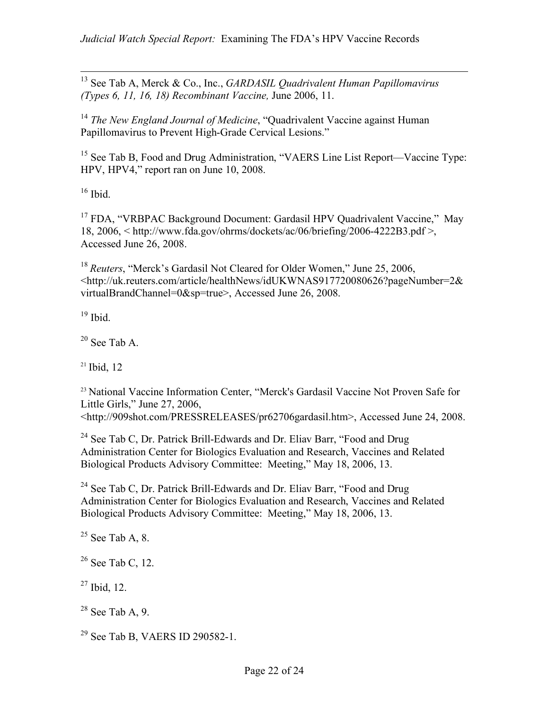13 See Tab A, Merck & Co., Inc., *GARDASIL Quadrivalent Human Papillomavirus (Types 6, 11, 16, 18) Recombinant Vaccine,* June 2006, 11.

<sup>14</sup> *The New England Journal of Medicine*, "Quadrivalent Vaccine against Human Papillomavirus to Prevent High-Grade Cervical Lesions."

<sup>15</sup> See Tab B, Food and Drug Administration, "VAERS Line List Report—Vaccine Type: HPV, HPV4," report ran on June 10, 2008.

 $16$  Ibid.

<sup>17</sup> FDA, "VRBPAC Background Document: Gardasil HPV Ouadrivalent Vaccine," May 18, 2006, < http://www.fda.gov/ohrms/dockets/ac/06/briefing/2006-4222B3.pdf >, Accessed June 26, 2008.

<sup>18</sup> *Reuters*, "Merck's Gardasil Not Cleared for Older Women," June 25, 2006, <http://uk.reuters.com/article/healthNews/idUKWNAS917720080626?pageNumber=2& virtualBrandChannel=0&sp=true>, Accessed June 26, 2008.

 $19$  Ibid.

 $20$  See Tab A.

 $21$  Ibid. 12

<sup>23</sup> National Vaccine Information Center, "Merck's Gardasil Vaccine Not Proven Safe for Little Girls," June 27, 2006, <http://909shot.com/PRESSRELEASES/pr62706gardasil.htm>, Accessed June 24, 2008.

<sup>24</sup> See Tab C, Dr. Patrick Brill-Edwards and Dr. Eliav Barr, "Food and Drug Administration Center for Biologics Evaluation and Research, Vaccines and Related Biological Products Advisory Committee: Meeting," May 18, 2006, 13.

<sup>24</sup> See Tab C, Dr. Patrick Brill-Edwards and Dr. Eliav Barr, "Food and Drug Administration Center for Biologics Evaluation and Research, Vaccines and Related Biological Products Advisory Committee: Meeting," May 18, 2006, 13.

 $25$  See Tab A, 8.

 $26$  See Tab C, 12.

 $27$  Ibid, 12.

 $28$  See Tab A, 9.

29 See Tab B, VAERS ID 290582-1.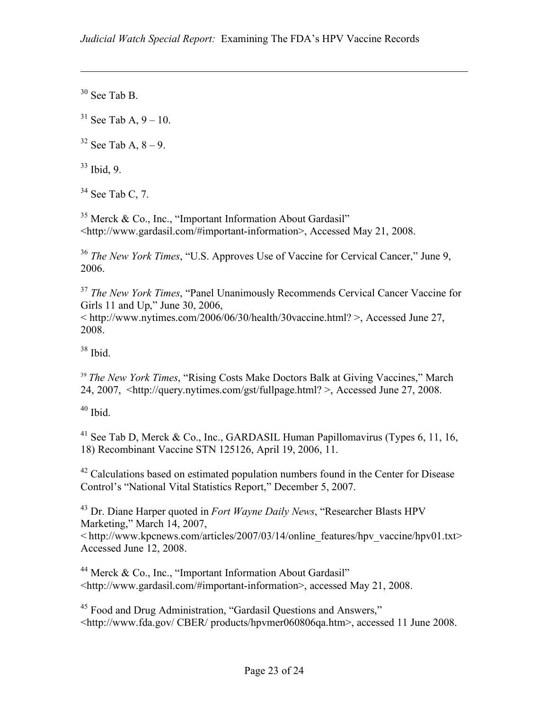$30$  See Tab B.

 $\overline{a}$ 

 $31$  See Tab A, 9 – 10.

 $32$  See Tab A,  $8 - 9$ .

 $33$  Ibid 9

 $34$  See Tab C, 7.

 $35$  Merck & Co., Inc., "Important Information About Gardasil" <http://www.gardasil.com/#important-information>, Accessed May 21, 2008.

<sup>36</sup> *The New York Times*, "U.S. Approves Use of Vaccine for Cervical Cancer," June 9, 2006.

<sup>37</sup> *The New York Times*, "Panel Unanimously Recommends Cervical Cancer Vaccine for Girls 11 and Up," June 30, 2006,

 $\langle \text{http://www.nytimes.com/2006/06/30/health/30vaccine.html?} \rangle$ , Accessed June 27, 2008.

 $38$  Ibid.

<sup>39</sup> *The New York Times*, "Rising Costs Make Doctors Balk at Giving Vaccines," March 24, 2007, <http://query.nytimes.com/gst/fullpage.html? >, Accessed June 27, 2008.

 $40$  Ibid.

<sup>41</sup> See Tab D, Merck & Co., Inc., GARDASIL Human Papillomavirus (Types 6, 11, 16, 18) Recombinant Vaccine STN 125126, April 19, 2006, 11.

 $42$  Calculations based on estimated population numbers found in the Center for Disease Control's "National Vital Statistics Report," December 5, 2007.

43 Dr. Diane Harper quoted in *Fort Wayne Daily News*, "Researcher Blasts HPV Marketing," March 14, 2007,

 $\leq$ http://www.kpcnews.com/articles/2007/03/14/online\_features/hpv\_vaccine/hpv01.txt> Accessed June 12, 2008.

<sup>44</sup> Merck & Co., Inc., "Important Information About Gardasil" <http://www.gardasil.com/#important-information>, accessed May 21, 2008.

45 Food and Drug Administration, "Gardasil Questions and Answers," <http://www.fda.gov/ CBER/ products/hpvmer060806qa.htm>, accessed 11 June 2008.